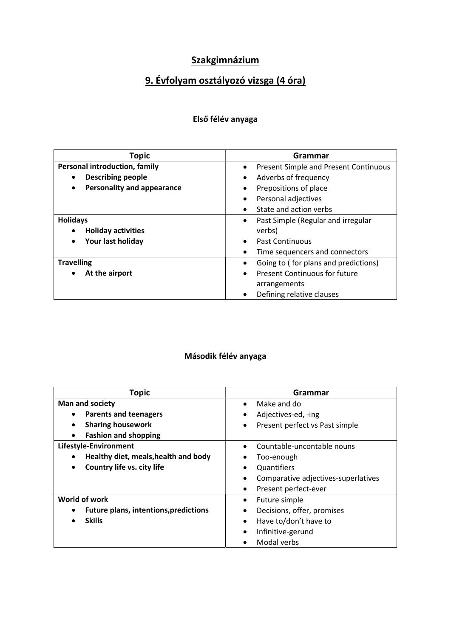# 9. Évfolyam osztályozó vizsga (4 óra)

#### Első félév anyaga

| <b>Topic</b>                                   | Grammar                                            |
|------------------------------------------------|----------------------------------------------------|
| <b>Personal introduction, family</b>           | Present Simple and Present Continuous<br>$\bullet$ |
| <b>Describing people</b><br>$\bullet$          | Adverbs of frequency<br>$\bullet$                  |
| <b>Personality and appearance</b><br>$\bullet$ | Prepositions of place<br>٠                         |
|                                                | Personal adjectives<br>$\bullet$                   |
|                                                | State and action verbs                             |
| <b>Holidays</b>                                | Past Simple (Regular and irregular<br>٠            |
| <b>Holiday activities</b>                      | verbs)                                             |
| Your last holiday<br>$\bullet$                 | <b>Past Continuous</b><br>$\bullet$                |
|                                                | Time sequencers and connectors                     |
| <b>Travelling</b>                              | Going to (for plans and predictions)<br>$\bullet$  |
| At the airport                                 | <b>Present Continuous for future</b><br>$\bullet$  |
|                                                | arrangements                                       |
|                                                | Defining relative clauses<br>$\bullet$             |

| <b>Topic</b>                                      | Grammar                             |
|---------------------------------------------------|-------------------------------------|
| <b>Man and society</b>                            | Make and do<br>$\bullet$            |
| <b>Parents and teenagers</b>                      | Adjectives-ed, -ing<br>٠            |
| <b>Sharing housework</b>                          | Present perfect vs Past simple      |
| <b>Fashion and shopping</b><br>$\bullet$          |                                     |
| Lifestyle-Environment                             | Countable-uncontable nouns          |
| Healthy diet, meals, health and body<br>$\bullet$ | Too-enough                          |
| Country life vs. city life<br>$\bullet$           | Quantifiers                         |
|                                                   | Comparative adjectives-superlatives |
|                                                   | Present perfect-ever                |
| World of work                                     | Future simple                       |
| <b>Future plans, intentions, predictions</b>      | Decisions, offer, promises          |
| <b>Skills</b>                                     | Have to/don't have to               |
|                                                   | Infinitive-gerund                   |
|                                                   | Modal verbs                         |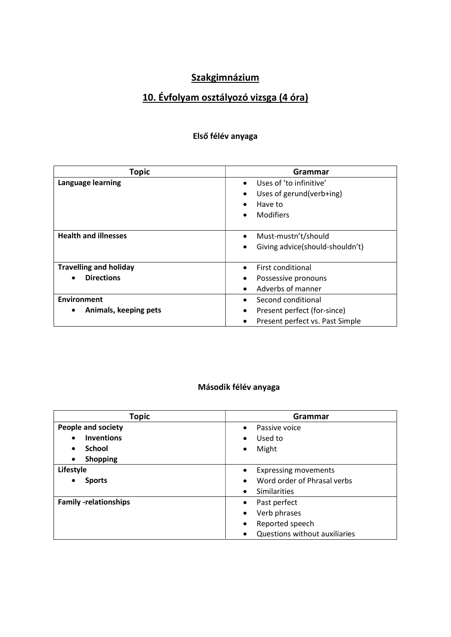# 10. Évfolyam osztályozó vizsga (4 óra)

#### Első félév anyaga

| <b>Topic</b>                       | Grammar                                      |
|------------------------------------|----------------------------------------------|
| Language learning                  | Uses of 'to infinitive'<br>$\bullet$         |
|                                    | Uses of gerund(verb+ing)<br>$\bullet$        |
|                                    | Have to<br>$\bullet$                         |
|                                    | <b>Modifiers</b><br>$\bullet$                |
|                                    |                                              |
| <b>Health and illnesses</b>        | Must-mustn't/should<br>$\bullet$             |
|                                    | Giving advice(should-shouldn't)<br>$\bullet$ |
|                                    |                                              |
| <b>Travelling and holiday</b>      | First conditional<br>$\bullet$               |
| <b>Directions</b>                  | Possessive pronouns<br>٠                     |
|                                    | Adverbs of manner<br>$\bullet$               |
| <b>Environment</b>                 | Second conditional<br>$\bullet$              |
| Animals, keeping pets<br>$\bullet$ | Present perfect (for-since)<br>$\bullet$     |
|                                    | Present perfect vs. Past Simple<br>$\bullet$ |

| <b>Topic</b>                   | Grammar                                  |
|--------------------------------|------------------------------------------|
| People and society             | Passive voice<br>$\bullet$               |
| <b>Inventions</b><br>$\bullet$ | Used to<br>$\bullet$                     |
| <b>School</b><br>$\bullet$     | Might<br>٠                               |
| <b>Shopping</b><br>$\bullet$   |                                          |
| Lifestyle                      | <b>Expressing movements</b><br>٠         |
| <b>Sports</b>                  | Word order of Phrasal verbs<br>$\bullet$ |
|                                | Similarities<br>$\bullet$                |
| <b>Family -relationships</b>   | Past perfect<br>$\bullet$                |
|                                | Verb phrases<br>$\bullet$                |
|                                | Reported speech<br>$\bullet$             |
|                                | Questions without auxiliaries            |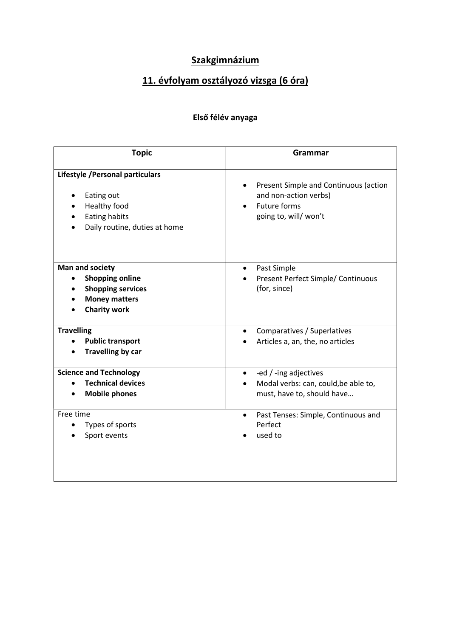# 11. évfolyam osztályozó vizsga (6 óra)

### Első félév anyaga

| <b>Topic</b>                                                                                                         | Grammar                                                                                                       |
|----------------------------------------------------------------------------------------------------------------------|---------------------------------------------------------------------------------------------------------------|
| Lifestyle / Personal particulars<br>Eating out<br>Healthy food<br>Eating habits<br>Daily routine, duties at home     | Present Simple and Continuous (action<br>and non-action verbs)<br><b>Future forms</b><br>going to, will/won't |
| Man and society<br><b>Shopping online</b><br><b>Shopping services</b><br><b>Money matters</b><br><b>Charity work</b> | Past Simple<br>Present Perfect Simple/ Continuous<br>(for, since)                                             |
| <b>Travelling</b><br><b>Public transport</b><br><b>Travelling by car</b>                                             | Comparatives / Superlatives<br>Articles a, an, the, no articles                                               |
| <b>Science and Technology</b><br><b>Technical devices</b><br><b>Mobile phones</b>                                    | -ed / -ing adjectives<br>$\bullet$<br>Modal verbs: can, could, be able to,<br>must, have to, should have      |
| Free time<br>Types of sports<br>Sport events                                                                         | Past Tenses: Simple, Continuous and<br>$\bullet$<br>Perfect<br>used to                                        |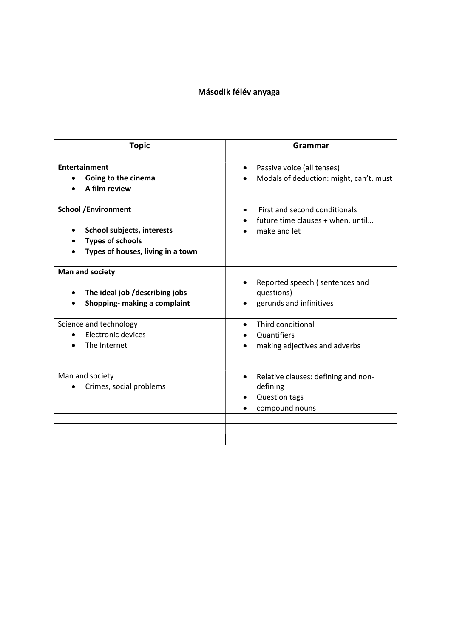| Grammar                                                                                                |
|--------------------------------------------------------------------------------------------------------|
| Passive voice (all tenses)<br>$\bullet$<br>Modals of deduction: might, can't, must                     |
| First and second conditionals<br>future time clauses + when, until<br>make and let                     |
| Reported speech (sentences and<br>questions)<br>gerunds and infinitives                                |
| Third conditional<br>Quantifiers<br>making adjectives and adverbs                                      |
| Relative clauses: defining and non-<br>$\bullet$<br>defining<br><b>Question tags</b><br>compound nouns |
|                                                                                                        |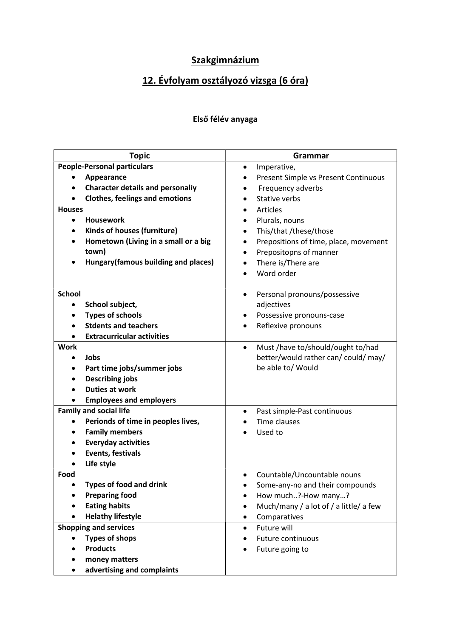# 12. Évfolyam osztályozó vizsga (6 óra)

#### Első félév anyaga

| <b>Topic</b>                            | Grammar                                        |
|-----------------------------------------|------------------------------------------------|
| <b>People-Personal particulars</b>      | Imperative,<br>٠                               |
| Appearance                              | Present Simple vs Present Continuous           |
| <b>Character details and personaliy</b> | Frequency adverbs                              |
| <b>Clothes, feelings and emotions</b>   | Stative verbs                                  |
| <b>Houses</b>                           | Articles<br>$\bullet$                          |
| <b>Housework</b><br>$\bullet$           | Plurals, nouns<br>$\bullet$                    |
| Kinds of houses (furniture)             | This/that /these/those<br>٠                    |
| Hometown (Living in a small or a big    | Prepositions of time, place, movement<br>٠     |
| town)                                   | Prepositopns of manner                         |
| Hungary(famous building and places)     | There is/There are                             |
|                                         | Word order                                     |
|                                         |                                                |
| <b>School</b>                           | Personal pronouns/possessive<br>$\bullet$      |
| School subject,                         | adjectives                                     |
| <b>Types of schools</b>                 | Possessive pronouns-case<br>٠                  |
| <b>Stdents and teachers</b>             | Reflexive pronouns                             |
| <b>Extracurricular activities</b>       |                                                |
| <b>Work</b>                             | Must /have to/should/ought to/had<br>$\bullet$ |
| Jobs                                    | better/would rather can/ could/ may/           |
| Part time jobs/summer jobs              | be able to/ Would                              |
| <b>Describing jobs</b>                  |                                                |
| <b>Duties at work</b>                   |                                                |
| <b>Employees and employers</b>          |                                                |
| <b>Family and social life</b>           | Past simple-Past continuous<br>$\bullet$       |
| Perionds of time in peoples lives,      | Time clauses                                   |
| <b>Family members</b>                   | Used to                                        |
| <b>Everyday activities</b>              |                                                |
| <b>Events, festivals</b>                |                                                |
| Life style                              |                                                |
| Food                                    | Countable/Uncountable nouns                    |
| <b>Types of food and drink</b>          | Some-any-no and their compounds                |
| <b>Preparing food</b>                   | How much?-How many?                            |
| <b>Eating habits</b>                    | Much/many / a lot of / a little/ a few         |
| <b>Helathy lifestyle</b>                | Comparatives<br>$\bullet$                      |
| <b>Shopping and services</b>            | Future will<br>$\bullet$                       |
| <b>Types of shops</b>                   | Future continuous                              |
| <b>Products</b>                         | Future going to                                |
| money matters                           |                                                |
| advertising and complaints              |                                                |